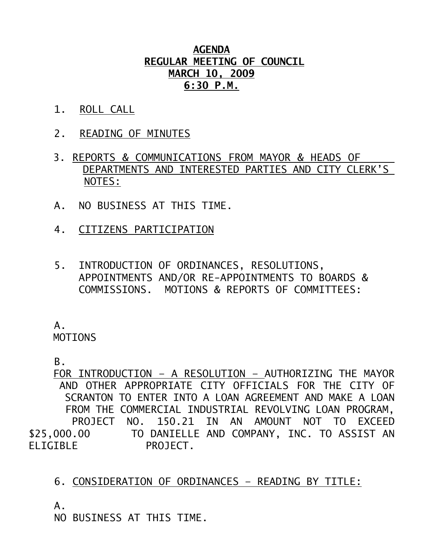## **AGENDA REGULAR MEETING OF COUNCIL MARCH 10, 2009 6:30 P.M.**

- 1. ROLL CALL
- 2. READING OF MINUTES
- 3. REPORTS & COMMUNICATIONS FROM MAYOR & HEADS OF DEPARTMENTS AND INTERESTED PARTIES AND CITY CLERK'S NOTES:
- A. NO BUSINESS AT THIS TIME.
- 4. CITIZENS PARTICIPATION
- 5. INTRODUCTION OF ORDINANCES, RESOLUTIONS, APPOINTMENTS AND/OR RE-APPOINTMENTS TO BOARDS & COMMISSIONS. MOTIONS & REPORTS OF COMMITTEES:

 A. **MOTIONS** 

B.

 FOR INTRODUCTION – A RESOLUTION – AUTHORIZING THE MAYOR AND OTHER APPROPRIATE CITY OFFICIALS FOR THE CITY OF SCRANTON TO ENTER INTO A LOAN AGREEMENT AND MAKE A LOAN FROM THE COMMERCIAL INDUSTRIAL REVOLVING LOAN PROGRAM, PROJECT NO. 150.21 IN AN AMOUNT NOT TO EXCEED \$25,000.00 TO DANIELLE AND COMPANY, INC. TO ASSIST AN ELIGIBLE PROJECT.

## 6. CONSIDERATION OF ORDINANCES – READING BY TITLE:

 $A<sub>-</sub>$ 

NO BUSINESS AT THIS TIME.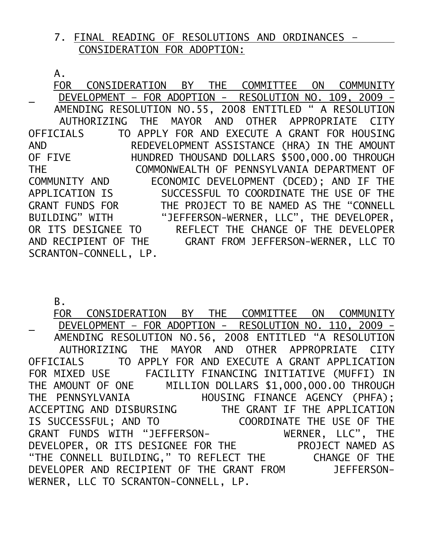## 7. FINAL READING OF RESOLUTIONS AND ORDINANCES – CONSIDERATION FOR ADOPTION:

A.

 FOR CONSIDERATION BY THE COMMITTEE ON COMMUNITY DEVELOPMENT – FOR ADOPTION - RESOLUTION NO. 109, 2009 - AMENDING RESOLUTION NO.55, 2008 ENTITLED " A RESOLUTION AUTHORIZING THE MAYOR AND OTHER APPROPRIATE CITY OFFICIALS TO APPLY FOR AND EXECUTE A GRANT FOR HOUSING AND REDEVELOPMENT ASSISTANCE (HRA) IN THE AMOUNT OF FIVE HUNDRED THOUSAND DOLLARS \$500,000.00 THROUGH THE COMMONWEALTH OF PENNSYLVANIA DEPARTMENT OF COMMUNITY AND ECONOMIC DEVELOPMENT (DCED); AND IF THE COMMUNITY AND **ECONOMIC DEVELOPMENT** (DCED); AND IF THE APPLICATION IS SUCCESSFUL TO COORDINATE THE USE OF THE GRANT FUNDS FOR THE PROJECT TO BE NAMED AS THE "CONNELL BUILDING" WITH "JEFFERSON-WERNER, LLC", THE DEVELOPER, OR ITS DESIGNEE TO REFLECT THE CHANGE OF THE DEVELOPER AND RECIPIENT OF THE GRANT FROM JEFFERSON-WERNER, LLC TO SCRANTON-CONNELL, LP.

B.

 FOR CONSIDERATION BY THE COMMITTEE ON COMMUNITY DEVELOPMENT – FOR ADOPTION - RESOLUTION NO. 110, 2009 - AMENDING RESOLUTION NO.56, 2008 ENTITLED "A RESOLUTION AUTHORIZING THE MAYOR AND OTHER APPROPRIATE CITY OFFICIALS TO APPLY FOR AND EXECUTE A GRANT APPLICATION FOR MIXED USE FACILITY FINANCING INITIATIVE (MUFFI) IN THE AMOUNT OF ONE MILLION DOLLARS \$1,000,000.00 THROUGH THE PENNSYLVANIA HOUSING FINANCE AGENCY (PHFA); ACCEPTING AND DISBURSING THE GRANT IF THE APPLICATION IS SUCCESSFUL; AND TO COORDINATE THE USE OF THE GRANT FUNDS WITH "JEFFERSON- WERNER, LLC", THE DEVELOPER, OR ITS DESIGNEE FOR THE PROJECT NAMED AS "THE CONNELL BUILDING," TO REFLECT THE CHANGE OF THE DEVELOPER AND RECIPIENT OF THE GRANT FROM JEFFERSON-WERNER, LLC TO SCRANTON-CONNELL, LP.